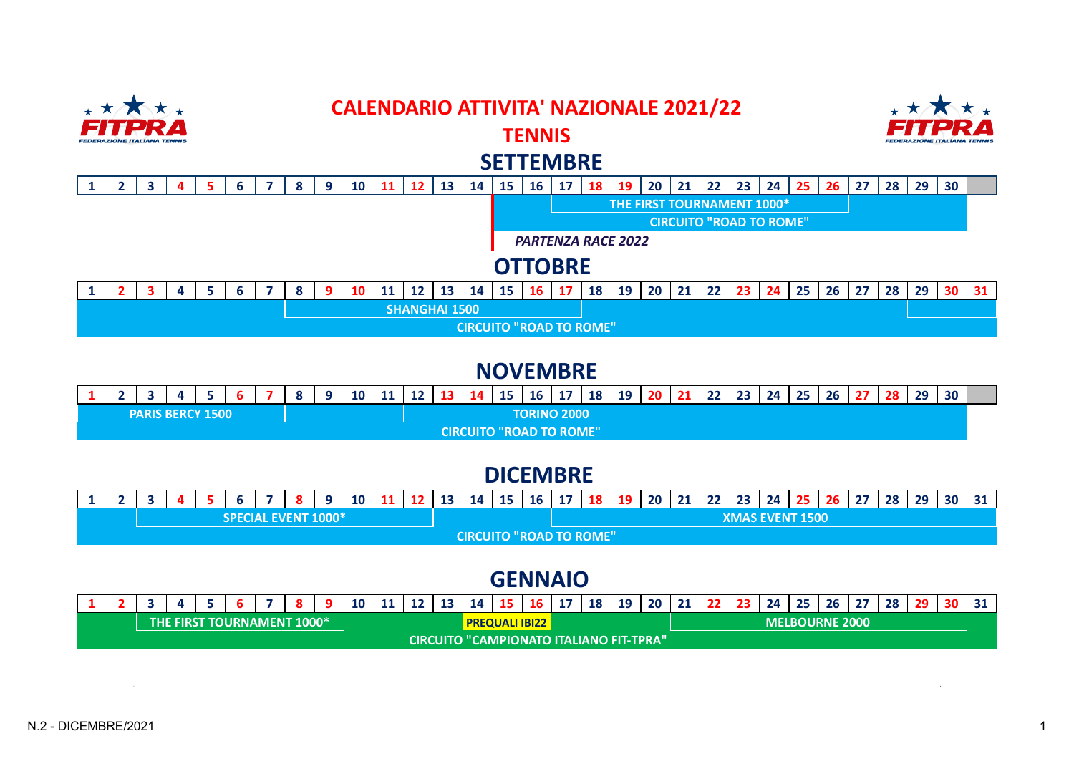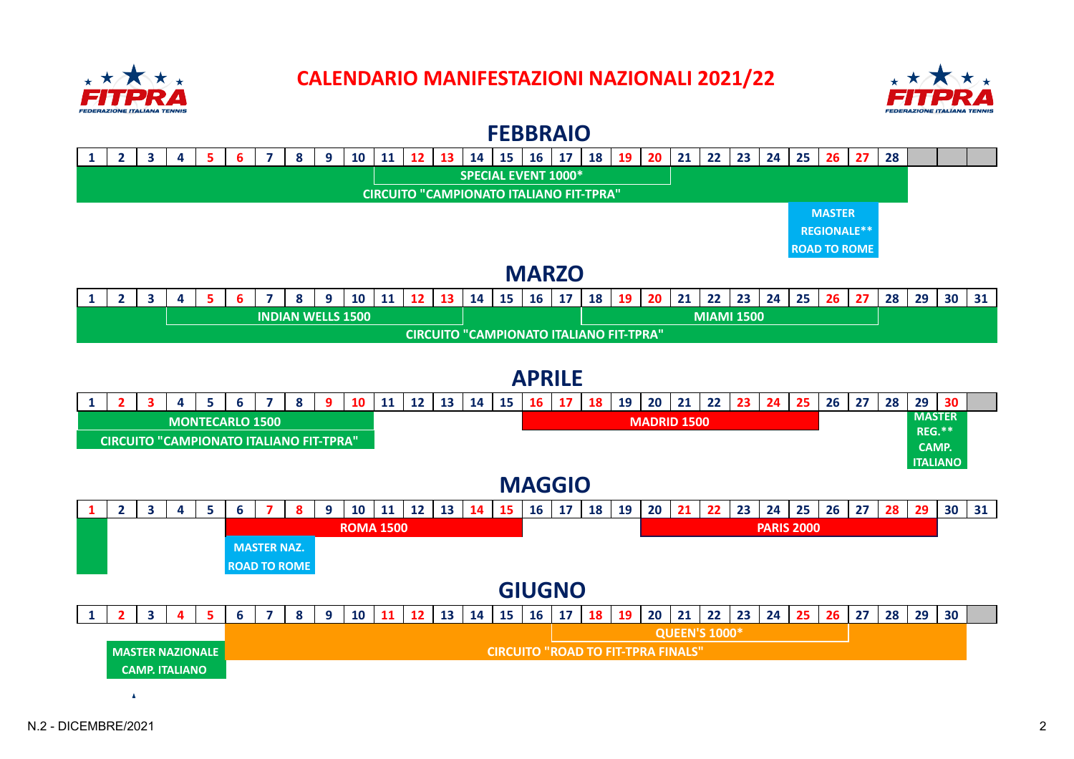